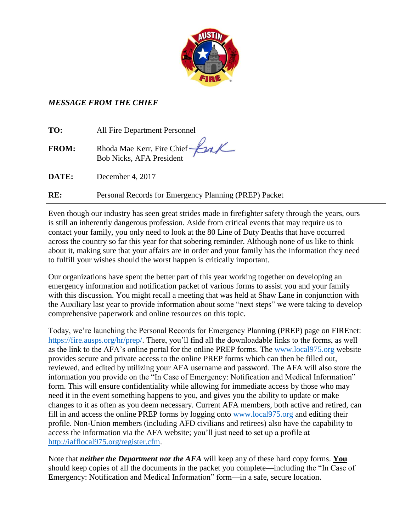

## *MESSAGE FROM THE CHIEF*

| TO:          | All Fire Department Personnel                         |
|--------------|-------------------------------------------------------|
| <b>FROM:</b> | Rhoda Mae Kerr, Fire Chief <b>Cal</b>                 |
| DATE:        | December 4, 2017                                      |
| RE:          | Personal Records for Emergency Planning (PREP) Packet |

Even though our industry has seen great strides made in firefighter safety through the years, ours is still an inherently dangerous profession. Aside from critical events that may require us to contact your family, you only need to look at the 80 Line of Duty Deaths that have occurred across the country so far this year for that sobering reminder. Although none of us like to think about it, making sure that your affairs are in order and your family has the information they need to fulfill your wishes should the worst happen is critically important.

Our organizations have spent the better part of this year working together on developing an emergency information and notification packet of various forms to assist you and your family with this discussion. You might recall a meeting that was held at Shaw Lane in conjunction with the Auxiliary last year to provide information about some "next steps" we were taking to develop comprehensive paperwork and online resources on this topic.

Today, we're launching the Personal Records for Emergency Planning (PREP) page on FIREnet: [https://fire.ausps.org/hr/prep/.](https://fire.ausps.org/hr/prep/) There, you'll find all the downloadable links to the forms, as well as the link to the AFA's online portal for the online PREP forms. The [www.local975.org](http://www.local975.org/) website provides secure and private access to the online PREP forms which can then be filled out, reviewed, and edited by utilizing your AFA username and password. The AFA will also store the information you provide on the "In Case of Emergency: Notification and Medical Information" form. This will ensure confidentiality while allowing for immediate access by those who may need it in the event something happens to you, and gives you the ability to update or make changes to it as often as you deem necessary. Current AFA members, both active and retired, can fill in and access the online PREP forms by logging onto [www.local975.org](http://www.local975.org/) and editing their profile. Non-Union members (including AFD civilians and retirees) also have the capability to access the information via the AFA website; you'll just need to set up a profile at [http://iafflocal975.org/register.cfm.](http://iafflocal975.org/register.cfm)

Note that *neither the Department nor the AFA* will keep any of these hard copy forms. **You** should keep copies of all the documents in the packet you complete—including the "In Case of Emergency: Notification and Medical Information" form—in a safe, secure location.